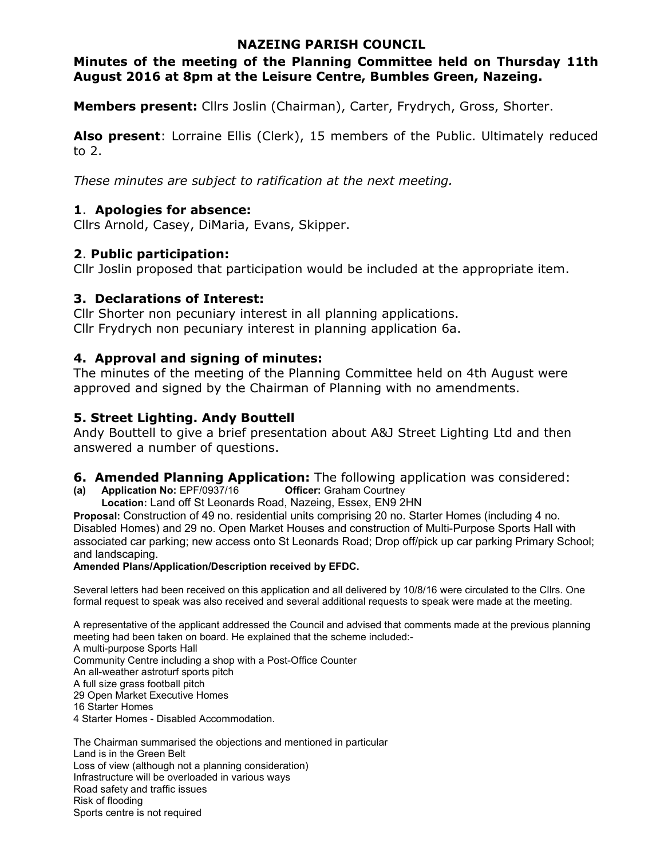## **NAZEING PARISH COUNCIL**

# **Minutes of the meeting of the Planning Committee held on Thursday 11th August 2016 at 8pm at the Leisure Centre, Bumbles Green, Nazeing.**

**Members present:** Cllrs Joslin (Chairman), Carter, Frydrych, Gross, Shorter.

Also present: Lorraine Ellis (Clerk), 15 members of the Public. Ultimately reduced to 2.

*These minutes are subject to ratification at the next meeting.*

# **1**. **Apologies for absence:**

Cllrs Arnold, Casey, DiMaria, Evans, Skipper.

# **2**. **Public participation:**

Cllr Joslin proposed that participation would be included at the appropriate item.

# **3. Declarations of Interest:**

Cllr Shorter non pecuniary interest in all planning applications. Cllr Frydrych non pecuniary interest in planning application 6a.

# **4. Approval and signing of minutes:**

The minutes of the meeting of the Planning Committee held on 4th August were approved and signed by the Chairman of Planning with no amendments.

# **5. Street Lighting. Andy Bouttell**

Andy Bouttell to give a brief presentation about A&J Street Lighting Ltd and then answered a number of questions.

# **6. Amended Planning Application:** The following application was considered:<br>(a) Application No: EPF/0937/16 **Contiction:** Graham Courtney

**(a)** Application No: EPF/0937/16

**Location:** Land off St Leonards Road, Nazeing, Essex, EN9 2HN

**Proposal:** Construction of 49 no. residential units comprising 20 no. Starter Homes (including 4 no. Disabled Homes) and 29 no. Open Market Houses and construction of Multi-Purpose Sports Hall with associated car parking; new access onto St Leonards Road; Drop off/pick up car parking Primary School; and landscaping.

## **Amended Plans/Application/Description received by EFDC.**

Several letters had been received on this application and all delivered by 10/8/16 were circulated to the Cllrs. One formal request to speak was also received and several additional requests to speak were made at the meeting.

A representative of the applicant addressed the Council and advised that comments made at the previous planning meeting had been taken on board. He explained that the scheme included:- A multi-purpose Sports Hall

Community Centre including a shop with a Post-Office Counter An all-weather astroturf sports pitch A full size grass football pitch 29 Open Market Executive Homes 16 Starter Homes 4 Starter Homes - Disabled Accommodation.

The Chairman summarised the objections and mentioned in particular Land is in the Green Belt Loss of view (although not a planning consideration) Infrastructure will be overloaded in various ways Road safety and traffic issues Risk of flooding Sports centre is not required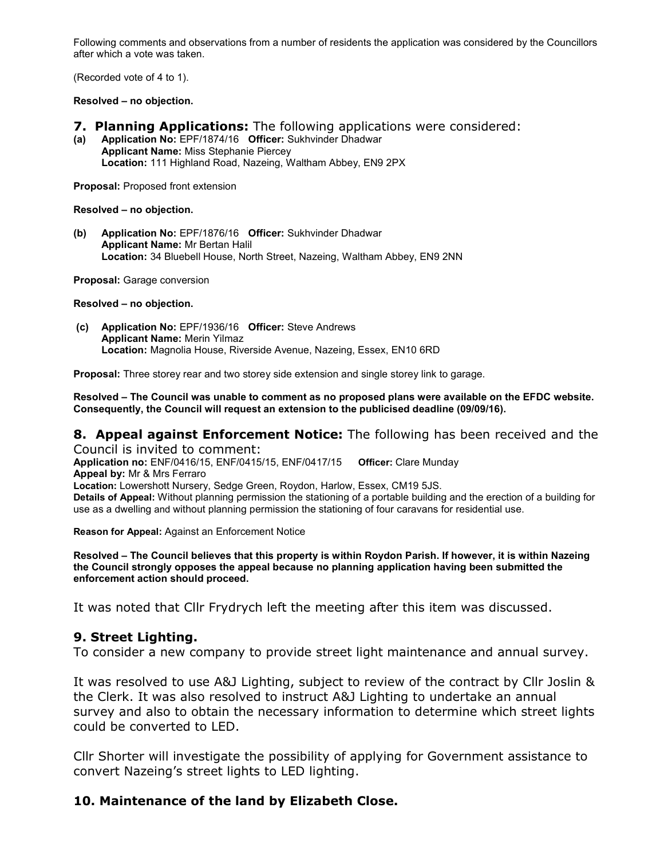Following comments and observations from a number of residents the application was considered by the Councillors after which a vote was taken.

(Recorded vote of 4 to 1).

#### **Resolved – no objection.**

- **7. Planning Applications:** The following applications were considered:
- **(a) Application No:** EPF/1874/16 **Officer:** Sukhvinder Dhadwar **Applicant Name:** Miss Stephanie Piercey **Location:** 111 Highland Road, Nazeing, Waltham Abbey, EN9 2PX

**Proposal:** Proposed front extension

**Resolved – no objection.** 

**(b) Application No:** EPF/1876/16 **Officer:** Sukhvinder Dhadwar **Applicant Name:** Mr Bertan Halil **Location:** 34 Bluebell House, North Street, Nazeing, Waltham Abbey, EN9 2NN

**Proposal:** Garage conversion

**Resolved – no objection.**

 **(c) Application No:** EPF/1936/16 **Officer:** Steve Andrews **Applicant Name:** Merin Yilmaz **Location:** Magnolia House, Riverside Avenue, Nazeing, Essex, EN10 6RD

**Proposal:** Three storey rear and two storey side extension and single storey link to garage.

**Resolved – The Council was unable to comment as no proposed plans were available on the EFDC website. Consequently, the Council will request an extension to the publicised deadline (09/09/16).**

#### **8. Appeal against Enforcement Notice:** The following has been received and the Council is invited to comment:

**Application no:** ENF/0416/15, ENF/0415/15, ENF/0417/15 **Officer:** Clare Munday **Appeal by:** Mr & Mrs Ferraro **Location:** Lowershott Nursery, Sedge Green, Roydon, Harlow, Essex, CM19 5JS. **Details of Appeal:** Without planning permission the stationing of a portable building and the erection of a building for use as a dwelling and without planning permission the stationing of four caravans for residential use.

**Reason for Appeal:** Against an Enforcement Notice

**Resolved – The Council believes that this property is within Roydon Parish. If however, it is within Nazeing the Council strongly opposes the appeal because no planning application having been submitted the enforcement action should proceed.** 

It was noted that Cllr Frydrych left the meeting after this item was discussed.

#### **9. Street Lighting.**

To consider a new company to provide street light maintenance and annual survey.

It was resolved to use A&J Lighting, subject to review of the contract by Cllr Joslin & the Clerk. It was also resolved to instruct A&J Lighting to undertake an annual survey and also to obtain the necessary information to determine which street lights could be converted to LED.

Cllr Shorter will investigate the possibility of applying for Government assistance to convert Nazeing's street lights to LED lighting.

## **10. Maintenance of the land by Elizabeth Close.**